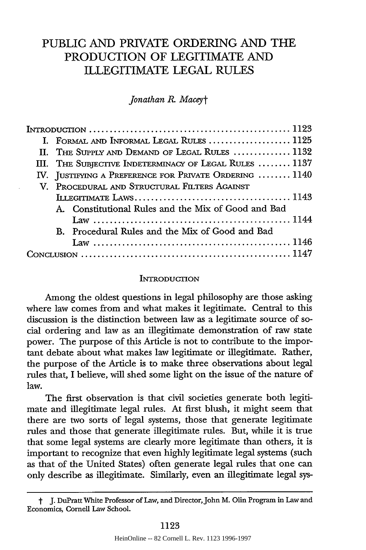# PUBLIC **AND** PRIVATE ORDERING **AND** THE PRODUCTION OF LEGITIMATE **AND** ILLEGITIMATE **LEGAL RULES**

### *Jonathan R Maceyt*

| I. FORMAL AND INFORMAL LEGAL RULES  1125               |  |  |  |  |
|--------------------------------------------------------|--|--|--|--|
| II. THE SUPPLY AND DEMAND OF LEGAL RULES  1132         |  |  |  |  |
| III. THE SUBJECTIVE INDETERMINACY OF LEGAL RULES  1137 |  |  |  |  |
| IV. JUSTIFYING A PREFERENCE FOR PRIVATE ORDERING  1140 |  |  |  |  |
| V. PROCEDURAL AND STRUCTURAL FILTERS AGAINST           |  |  |  |  |
|                                                        |  |  |  |  |
| A. Constitutional Rules and the Mix of Good and Bad    |  |  |  |  |
|                                                        |  |  |  |  |
| B. Procedural Rules and the Mix of Good and Bad        |  |  |  |  |
|                                                        |  |  |  |  |
|                                                        |  |  |  |  |

#### INTRODUCTION

Among the oldest questions in legal philosophy are those asking where law comes from and what makes it legitimate. Central to this discussion is the distinction between law as a legitimate source of social ordering and law as an illegitimate demonstration of raw state power. The purpose of this Article is not to contribute to the important debate about what makes law legitimate or illegitimate. Rather, the purpose of the Article is to make three observations about legal rules that, I believe, will shed some light on the issue of the nature of law.

The first observation is that civil societies generate both legitimate and illegitimate legal rules. At first blush, it might seem that there are two sorts of legal systems, those that generate legitimate rules and those that generate illegitimate rules. But, while it is true that some legal systems are clearly more legitimate than others, it is important to recognize that even highly legitimate legal systems (such as that of the United States) often generate legal rules that one can only describe as illegitimate. Similarly, even an illegitimate legal sys-

t J. DuPratt White Professor of Law, and Director, John M. Olin Program in Law and Economics, Cornell Law School.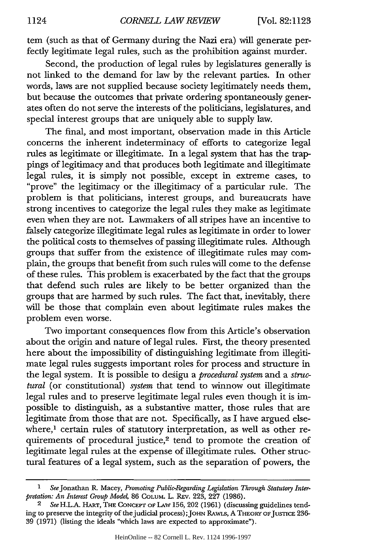tern (such as that of Germany during the Nazi era) will generate perfectly legitimate legal rules, such as the prohibition against murder.

Second, the production of legal rules by legislatures generally is not linked to the demand for law by the relevant parties. In other words, laws are not supplied because society legitimately needs them, but because the outcomes that private ordering spontaneously generates often do not serve the interests of the politicians, legislatures, and special interest groups that are uniquely able to supply law.

The final, and most important, observation made in this Article concerns the inherent indeterminacy of efforts to categorize legal rules as legitimate or illegitimate. In a legal system that has the trappings of legitimacy and that produces both legitimate and illegitimate legal rules, it is simply not possible, except in extreme cases, to "prove" the legitimacy or the illegitimacy of a particular rule. The problem is that politicians, interest groups, and bureaucrats have strong incentives to categorize the legal rules they make as legitimate even when they are not. Lawmakers of all stripes have an incentive to falsely categorize illegitimate legal rules as legitimate in order to lower the political costs to themselves of passing illegitimate rules. Although groups that suffer from the existence of illegitimate rules may complain, the groups that benefit from such rules will come to the defense of these rules. This problem is exacerbated by the fact that the groups that defend such rules are likely to be better organized than the groups that are harmed by such rules. The fact that, inevitably, there will be those that complain even about legitimate rules makes the problem even worse.

Two important consequences flow from this Article's observation about the origin and nature of legal rules. First, the theory presented here about the impossibility of distinguishing legitimate from illegitimate legal rules suggests important roles for process and structure in the legal system. It is possible to design a *procedural system* and a structural (or constitutional) *system* that tend to winnow out illegitimate legal rules and to preserve legitimate legal rules even though it is impossible to distinguish, as a substantive matter, those rules that are legitimate from those that are not. Specifically, as I have argued elsewhere,<sup>1</sup> certain rules of statutory interpretation, as well as other requirements of procedural justice,<sup>2</sup> tend to promote the creation of legitimate legal rules at the expense of illegitimate rules. Other structural features of a legal system, such as the separation of powers, the

**<sup>1</sup>** SeeJonathan R. Macey, *Promoting Public-Regarding Legislation Through Statutory Interpretation: An Interest Group Model,* 86 COLUM. L. REV. 223, 227 (1986).

<sup>2</sup> *See* H.L.A. HART, THE CONCEPT OF LAW 156, 202 (1961) (discussing guidelines tending to preserve the integrity of the judicial process); JOHN RAWLS, A THEORY OF JUSTICE 236-39 (1971) (listing the ideals "which laws are expected to approximate").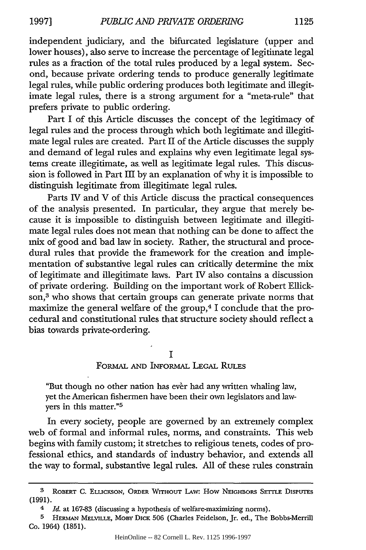independent judiciary, and the bifurcated legislature (upper and lower houses), also serve to increase the percentage of legitimate legal rules as a fraction of the total rules produced by a legal system. Second, because private ordering tends to produce generally legitimate legal rules, while public ordering produces both legitimate and illegitimate legal rules, there is a strong argument for a "meta-rule" that prefers private to public ordering.

Part I of this Article discusses the concept of the legitimacy of legal rules and the process through which both legitimate and illegitimate legal rules are created. Part II of the Article discusses the supply and demand of legal rules and explains why even legitimate legal systems create illegitimate, as, well as legitimate legal rules. This discussion is followed in Part III by an explanation of why it is impossible to distinguish legitimate from illegitimate legal rules.

Parts IV and V of this Article discuss the practical consequences of the analysis presented. In particular, they argue that merely because it is impossible to distinguish between legitimate and illegitimate legal rules does not mean that nothing can be done to affect the mix of good and bad law in society. Rather, the structural and procedural rules that provide the framework for the creation and implementation of substantive legal rules can critically determine the mix of legitimate and illegitimate laws. Part IV also contains a discussion of private ordering. Building on the important work of Robert Ellickson,<sup>3</sup> who shows that certain groups can generate private norms that maximize the general welfare of the group,<sup>4</sup> I conclude that the procedural and constitutional rules that structure society should reflect a bias towards private-ordering.

#### **I**

FoRMAL **AND INFORMAL LEGAL RuLEs**

"But though no other nation has ever had any written whaling law, yet the American fishermen have been their own legislators and lawyers in this matter."5

In every society, people are governed by an extremely complex web of formal and informal rules, norms, and constraints. This web begins with family custom; it stretches to religious tenets, codes of professional ethics, and standards of industry behavior, and extends all the way to formal, substantive legal rules. All of these rules constrain

S ROBERT C. ELuCKSON, ORDER WITHOUT LAW: How NEIGHBORS SETrLE DISPUTES **(1991).**

Id. at 167-83 (discussing a hypothesis of welfare-maximizing norms).

**<sup>5</sup>** HERMAN MELVILLE, MOBY DICK **506** (Charles Feidelson, Jr. ed., The Bobbs-Merrill Co. 1964) **(1851).**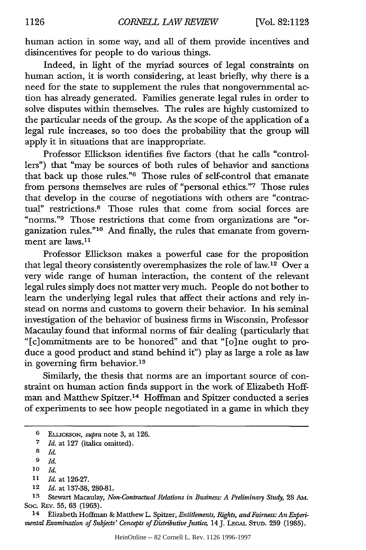human action in some way, and all of them provide incentives and disincentives for people to do various things.

Indeed, in light of the myriad sources of legal constraints on human action, it is worth considering, at least briefly, why there is a need for the state to supplement the rules that nongovernmental action has already generated. Families generate legal rules in order to solve disputes within themselves. The rules are highly customized to the particular needs of the group. As the scope of the application of a legal rule increases, so too does the probability that the group will apply it in situations that are inappropriate.

Professor Ellickson identifies five factors (that he calls "controllers") that "may be sources of both rules of behavior and sanctions that back up those rules."6 Those rules of self-control that emanate from persons themselves are rules of "personal ethics."7 Those rules that develop in the course of negotiations with others are "contractual" restrictions.<sup>8</sup> Those rules that come from social forces are "norms."<sup>9</sup> Those restrictions that come from organizations are "organization rules."10 And finally, the rules that emanate from government are laws.<sup>11</sup>

Professor Ellickson makes a powerful case for the proposition that legal theory consistently overemphasizes the role of law.12 Over a very wide range of human interaction, the content of the relevant legal rules simply does not matter very much. People do not bother to learn the underlying legal rules that affect their actions and rely instead on norms and customs to govern their behavior. In his seminal investigation of the behavior of business firms in Wisconsin, Professor Macaulay found that informal norms of fair dealing (particularly that "[c]ommitments are to be honored" and that "[o]ne ought to produce a good product and stand behind it") play as large a role as law in governing firm behavior.<sup>13</sup>

Similarly, the thesis that norms are an important source of constraint on human action finds support in the work of Elizabeth Hoffman and Matthew Spitzer.14 Hoffman and Spitzer conducted a series of experiments to see how people negotiated in a game in which they

9 *Id.*

12 *Id.* at 137-38, 280-81.

**13** Stewart Macaulay, *Non-Contractual Relations in Business: A Preliminary Study,* 28 AM. Soc. REv. 55, 63 (1963).

14 Elizabeth Hoffman & Matthew L. Spitzer, *Entitlements, Rights, and Fairness: An Experimental Examination of Subjects' Concepts of Distributive Justice,* 14J. **LEGAL STUD.** 259 (1985).

<sup>6</sup> ELUCKSON, *supra* note 3, at 126.

**<sup>7</sup>** *Id.* at 127 (italics omitted).

**<sup>8</sup>** *Id.*

**<sup>10</sup>** *Id.*

**<sup>11</sup>***Id.* at 126-27.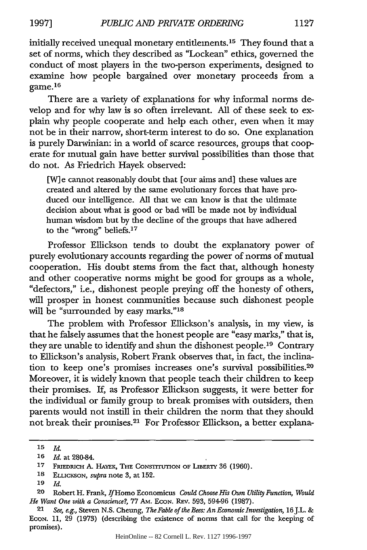initially received unequal monetary entitlements. 15 They found that a

set of norms, which they described as "Lockean" ethics, governed the conduct of most players in the two-person experiments, designed to examine how people bargained over monetary proceeds from a game. 16

There are a variety of explanations for why informal norms develop and for why law is so often irrelevant. All of these seek to explain why people cooperate and help each other, even when it may not be in their narrow, short-term interest to do so. One explanation is purely Darwinian: in a world of scarce resources, groups that cooperate for mutual gain have better survival possibilities than those that do not. As Friedrich Hayek observed:

[W] e cannot reasonably doubt that [our aims and] these values are created and altered by the same evolutionary forces that have produced our intelligence. All that we can know is that the ultimate decision about what is good or bad will be made not by individual human wisdom but by the decline of the groups that have adhered to the "wrong" beliefs.<sup>17</sup>

Professor Ellickson tends to doubt the explanatory power of purely evolutionary accounts regarding the power of norms of mutual cooperation. His doubt stems from the fact that, although honesty and other cooperative norms might be good for groups as a whole, "defectors," i.e., dishonest people preying off the honesty of others, will prosper in honest communities because such dishonest people will be "surrounded by easy marks."<sup>18</sup>

The problem with Professor Ellickson's analysis, in my view, is that he falsely assumes that the honest people are "easy marks," that is, they are unable to identify and shun the dishonest people.19 Contrary to Ellickson's analysis, Robert Frank observes that, in fact, the inclination to keep one's promises increases one's survival possibilities. <sup>20</sup> Moreover, it is widely known that people teach their children to keep their promises. If, as Professor Ellickson suggests, it were better for the individual or family group to break promises with outsiders, then parents would not instill in their children the norm that they should not break their promises.2' For Professor Ellickson, a better explana-

**<sup>15</sup>** *Id.*

**<sup>16</sup>** *Id.* at 280-84.

**<sup>17</sup>** FRIEDRICH A. HAYEK, THE CONSTITUTION OF LIBERTY 36 (1960).

<sup>18</sup> ELUCKSON, *supra* note 3, at 152.

**<sup>19</sup>** *Id.*

<sup>20</sup> Robert H. Frank, IfHomo Economicus *Could Choose His Own Utility Function, Would He Want One with a Conscience?,* 77 Am. ECON. REv. 593, 594-96 (1987).

<sup>21</sup> *See, e.g.,* Steven N.S. Cheung, *The Fable of the Bees: An Economic Investigation,* 16J.L. **&** ECON. 11, 29 (1973) (describing the existence of norms that call for the keeping of promises).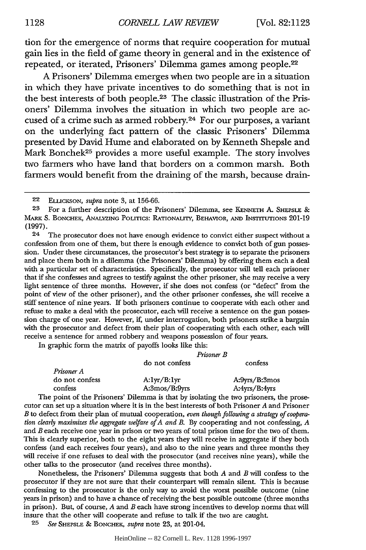tion for the emergence of norms that require cooperation for mutual gain lies in the field of game theory in general and in the existence of repeated, or iterated, Prisoners' Dilemma games among people.22

A Prisoners' Dilemma emerges when two people are in a situation in which they have private incentives to do something that is not in the best interests of both people.23 The classic illustration of the Prisoners' Dilemma involves the situation in which two people are accused of a crime such as armed robbery.24 For our purposes, a variant on the underlying fact pattern of the classic Prisoners' Dilemma presented by David Hume and elaborated on by Kenneth Shepsle and Mark Bonchek<sup>25</sup> provides a more useful example. The story involves two farmers who have land that borders on a common marsh. Both farmers would benefit from the draining of the marsh, because drain-

24 The prosecutor does not have enough evidence to convict either suspect without a confession from one of them, but there is enough evidence to convict both of gun possession. Under these circumstances, the prosecutor's best strategy is to separate the prisoners and place them both in a dilemma (the Prisoners' Dilemma) by offering them each a deal with a particular set of characteristics. Specifically, the prosecutor will tell each prisoner that if she confesses and agrees to testify against the other prisoner, she may receive a very light sentence of three months. However, if she does not confess (or "defect" from the point of view of the other prisoner), and the other prisoner confesses, she will receive a stiff sentence of nine years. If both prisoners continue to cooperate with each other and refuse to make a deal with the prosecutor, each will receive a sentence on the gun possession charge of one year. However, if, under interrogation, both prisoners strike a bargain with the prosecutor and defect from their plan of cooperating with each other, each will receive a sentence for armed robbery and weapons possession of four years.

In graphic form the matrix of payoffs looks like this:

|                | Prisoner B     |                                        |
|----------------|----------------|----------------------------------------|
|                | do not confess | confess                                |
| Prisoner A     |                |                                        |
| do not confess | A:1yr/B:1yr    | A:9 <sub>yrs</sub> /B:3 <sub>mos</sub> |
| confess        | A:3mos/B:9vrs  | A:4yrs/B:4yrs                          |

The point of the Prisoners' Dilemma is that by isolating the two prisoners, the prosecutor can set up a situation where it is in the best interests of both Prisoner *A* and Prisoner *B* to defect from their plan of mutual cooperation, *even though following a strategy of cooperation clearly maximizes the aggregate welfare of A and B.* By cooperating and not confessing, *A* and *B* each receive one year in prison or two years of total prison time for the two of them. This is clearly superior, both to the eight years they will receive in aggregate if they both confess (and each receives four years), and also to the nine years and three months they will receive if one refuses to deal with the prosecutor (and receives nine years), while the other talks to the prosecutor (and receives three months).

Nonetheless, the Prisoners' Dilemma suggests that both *A* and *B* will confess to the prosecutor if they are not sure that their counterpart will remain silent. This is because confessing to the prosecutor is the only way to avoid the worst possible outcome (nine years in prison) and to have a chance of receiving the best possible outcome (three months in prison). But, of course, *A* and *B* each have strong incentives to develop norms that will insure that the other will cooperate and refuse to talk if the two are caught.

**25** *See* **SHEPSLE** & BONCHEK, supra note 23, at 201-04.

<sup>22</sup> ELLICKsON, *supra* note 3, at 156-66.

**<sup>23</sup>** For a further description of the Prisoners' Dilemma, see **KENNETH** A. **SHEPSLE** & MARK S. **BONCHEK,** ANALYZING PoLrrIcs: RATIONAUTY, BEHAVIOR, **AND** INSTrTUTIONs 201-19 (1997).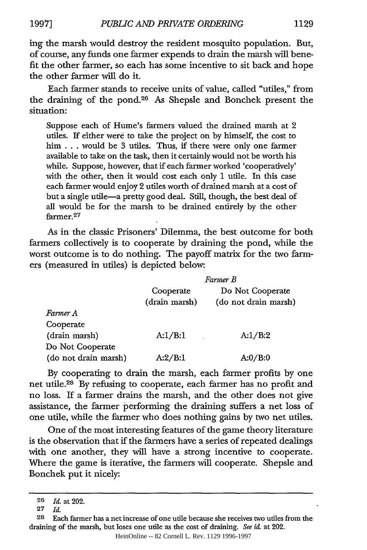ing the marsh would destroy the resident mosquito population. But, of course, any funds one farmer expends to drain the marsh will benefit the other farmer, so each has some incentive to sit back and hope the other farmer will do it.

Each farmer stands to receive units of value, called "utiles," from the draining of the pond.26 As Shepsle and Bonchek present the situation:

Suppose each of Hume's farmers valued the drained marsh at 2 utiles. If either were to take the project on by himself, the cost to him . . . would be 3 utiles. Thus, if there were only one farmer available to take on the task, then it certainly would not be worth his while. Suppose, however, that if each farmer worked 'cooperatively' with the other, then it would cost each only 1 utile. In this case each farmer would enjoy 2 utiles worth of drained marsh at a cost of but a single utile-a pretty good deal. Still, though, the best deal of all would be for the marsh to be drained entirely by the other farmer.<sup>27</sup>

As in the classic Prisoners' Dilemma, the best outcome for both farmers collectively is to cooperate by draining the pond, while the worst outcome is to do nothing. The payoff matrix for the two farmers (measured in utiles) is depicted below:

|                      | Farmer B      |                      |  |
|----------------------|---------------|----------------------|--|
|                      | Cooperate     | Do Not Cooperate     |  |
|                      | (drain marsh) | (do not drain marsh) |  |
| Farmer A             |               |                      |  |
| Cooperate            |               |                      |  |
| (drain marsh)        | A:1/B:1       | A:1/B:2              |  |
| Do Not Cooperate     |               |                      |  |
| (do not drain marsh) | A:2/B:1       | A:0/B:0              |  |

By cooperating to drain the marsh, each farmer profits by one net utile.<sup>28</sup> By refusing to cooperate, each farmer has no profit and no loss. If a farmer drains the marsh, and the other does not give assistance, the farmer performing the draining suffers a net loss of one utile, while the farmer who does nothing gains by two net utiles.

One of the most interesting features of the game theory literature is the observation that if the farmers have a series of repeated dealings with one another, they will have a strong incentive to cooperate. Where the game is iterative, the farmers will cooperate. Shepsle and Bonchek put it nicely:

HeinOnline -- 82 Cornell L. Rev. 1129 1996-1997

**<sup>26</sup>** *Id.* at 202.

**<sup>27</sup>** *Id.*

**<sup>28</sup>** Each farmer has a net increase of one utile because she receives two utiles from the draining of the marsh, but loses one utile as the cost of draining. *See id.* at 202.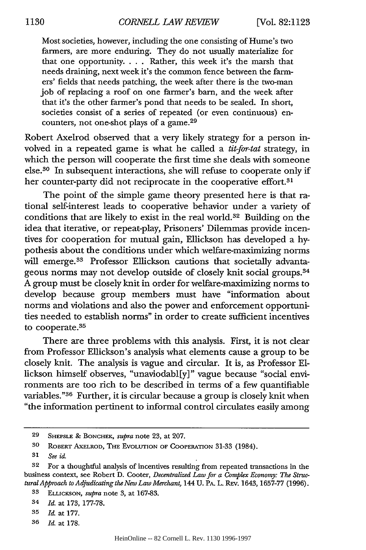*CORNELL LAW REVIEW* **1130** [Vol. **82:1123**

Most societies, however, including the one consisting of Hume's two farmers, are more enduring. They do not usually materialize for that one opportunity... Rather, this week it's the marsh that needs draining, next week it's the common fence between the farmers' fields that needs patching, the week after there is the two-man job of replacing a roof on one farmer's barn, and the week after that it's the other farmer's pond that needs to be sealed. In short, societies consist of a series of repeated (or even continuous) encounters, not one-shot plays of a game.29

Robert Axelrod observed that a very likely strategy for a person involved in a repeated game is what he called a *tit-for-tat* strategy, in which the person will cooperate the first time she deals with someone else.30 In subsequent interactions, she will refuse to cooperate only if her counter-party did not reciprocate in the cooperative effort.<sup>31</sup>

The point of the simple game theory presented here is that rational self-interest leads to cooperative behavior under a variety of conditions that are likely to exist in the real world.<sup>32</sup> Building on the idea that iterative, or repeat-play, Prisoners' Dilemmas provide incentives for cooperation for mutual gain, Ellickson has developed a hypothesis about the conditions under which welfare-maximizing norms will emerge.<sup>33</sup> Professor Ellickson cautions that societally advantageous norms may not develop outside of closely knit social groups.<sup>34</sup> A group must be closely knit in order for welfare-maximizing norms to develop because group members must have "information about norms and violations and also the power and enforcement opportunities needed to establish norms" in order to create sufficient incentives to cooperate.<sup>35</sup>

There are three problems with this analysis. First, it is not clear from Professor Ellickson's analysis what elements cause a group to be closely knit. The analysis is vague and circular. It is, as Professor **El**lickson himself observes, "unaviodabl[y]" vague because "social environments are too rich to be described in terms of a few quantifiable variables." 36 Further, it is circular because a group is closely knit when "the information pertinent to informal control circulates easily among

<sup>29</sup> SHEPSLE **&** BONCHEK, *supra* note 23, at 207.

**<sup>30</sup>** ROBERT AXELROD, THE EvoLuTION OF COOPERATION 31-33 (1984).

**<sup>31</sup>** *See id*

**<sup>32</sup>** For a thoughtful analysis of incentives resulting from repeated transactions in the business context, see Robert D. Cooter, *Decentralized Law for a Complex Economy: The StructuralApproach to Adjudicating the New Law Merchant,* 144 U. PA. L. REv. 1643, 1657-77 (1996).

**<sup>33</sup>** EL.ucKsoN, *supra* note 3, at 167-83.

<sup>34</sup> *Id.* at 173, 177-78.

<sup>35</sup> *Id* at 177.

**<sup>36</sup>** *Id.* at 178.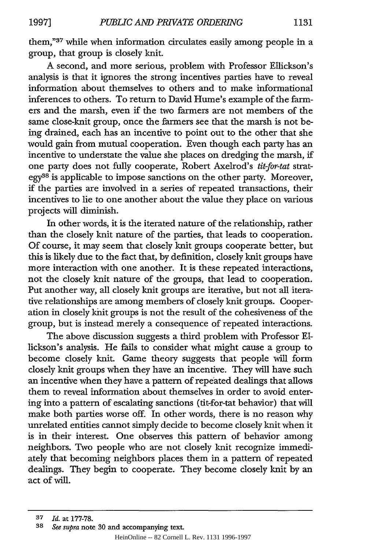them,"37 while when information circulates easily among people in a group, that group is closely knit.

A second, and more serious, problem with Professor Ellickson's analysis is that it ignores the strong incentives parties have to reveal information about themselves to others and to make informational inferences to others. To return to David Hume's example of the farmers and the marsh, even if the two farmers are not members of the same close-knit group, once the farmers see that the marsh is not being drained, each has an incentive to point out to the other that she would gain from mutual cooperation. Even though each party has an incentive to understate the value she places on dredging the marsh, if one party does not fully cooperate, Robert Axelrod's *tit-for-tat* strategy<sup>38</sup> is applicable to impose sanctions on the other party. Moreover, if the parties are involved in a series of repeated transactions, their incentives to lie to one another about the value they place on various projects will diminish.

In other words, it is the iterated nature of the relationship, rather than the closely knit nature of the parties, that leads to cooperation. Of course, it may seem that closely knit groups cooperate better, but this is likely due to the fact that, by definition, closely knit groups have more interaction with one another. It is these repeated interactions, not the closely knit nature of the groups, that lead to cooperation. Put another way, all closely knit groups are iterative, but not all iterative relationships are among members of closely knit groups. Cooperation in closely knit groups is not the result of the cohesiveness of the group, but is instead merely a consequence of repeated interactions.

The above discussion suggests a third problem with Professor **El**lickson's analysis. He fails to consider what might cause a group to become closely knit. Game theory suggests that people will form closely knit groups when they have an incentive. They will have such an incentive when they have a pattern of repeated dealings that allows them to reveal information about themselves in order to avoid entering into a pattern of escalating sanctions (tit-for-tat behavior) that will make both parties worse off. In other words, there is no reason why unrelated entities cannot simply decide to become closely knit when it is in their interest. One observes this pattern of behavior among neighbors. Two people who are not closely knit recognize immediately that becoming neighbors places them in a pattern of repeated dealings. They begin to cooperate. They become closely knit by an act of will.

**<sup>37</sup>** *Id.* at 177-78.

**<sup>38</sup>** *See supra* note **30** and accompanying text.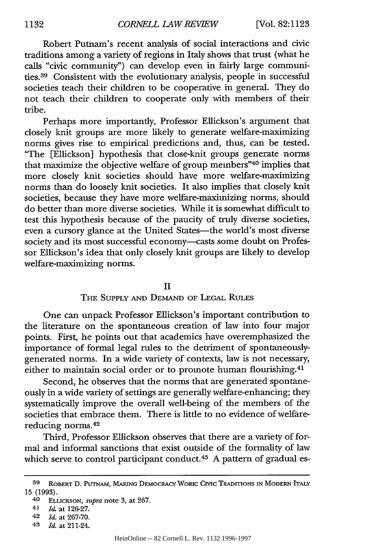Robert Putnam's recent analysis of social interactions and civic traditions among a variety of regions in Italy shows that trust (what he calls "civic community") can develop even in fairly large communities. 39 Consistent with the evolutionary analysis, people in successful societies teach their children to be cooperative in general. They do not teach their children to cooperate only with members of their tribe.

Perhaps more importantly, Professor Ellickson's argument that closely knit groups are more likely to generate welfare-maximizing norms gives rise to empirical predictions and, thus, can be tested. "The [Ellickson] hypothesis that close-knit groups generate norms that maximize the objective welfare of group members"40 implies that more closely knit societies should have more welfare-maximizing norms than do loosely knit societies. It also implies that closely knit societies, because they have more welfare-maximizing norms, should do better than more diverse societies. While it is somewhat difficult to test this hypothesis because of the paucity of truly diverse societies, even a cursory glance at the United States-the world's most diverse society and its most successful economy-casts some doubt on Professor Ellickson's idea that only closely knit groups are likely to develop welfare-maximizing norms.

#### II

# THE SUPPLY AND DEMAND OF LEGAL RuLEs

One can unpack Professor Ellickson's important contribution to the literature on the spontaneous creation of law into four major points. First, he points out that academics have overemphasized the importance of formal legal rules to the detriment of spontaneouslygenerated norms. In a wide variety of contexts, law is not necessary, either to maintain social order or to promote human flourishing.<sup>41</sup>

Second, he observes that the norms that are generated spontaneously in a wide variety of settings are generally welfare-enhancing; they systematically improve the overall well-being of the members of the societies that embrace them. There is little to no evidence of welfarereducing norms.42

Third, Professor Ellickson observes that there are a variety of formal and informal sanctions that exist outside of the formality of law which serve to control participant conduct.<sup>43</sup> A pattern of gradual es-

43 *Id.* at 211-24.

**<sup>39</sup>** ROBERT D. **PUTNAM, MAKING** DEMOCRACY WORK: **Civic TRADITIONS IN** MODERN ITALY 15 **(1993).**

**<sup>40</sup>** ELLICKSON, *supra* note 3, at 267.

<sup>41</sup> **1&** at 126-27.

<sup>42</sup> *Id.* at 267-70.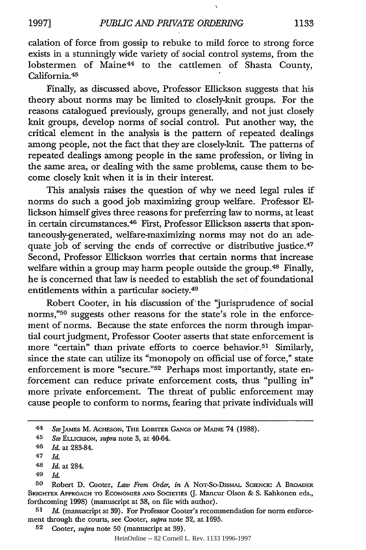calation of force from gossip to rebuke to mild force to strong force exists in a stunningly wide variety of social control systems, from the lobstermen of Maine<sup>44</sup> to the cattlemen of Shasta County, California.<sup>45</sup>

Finally, as discussed above, Professor Ellickson suggests that his theory about norms may be limited to closely-knit groups. For the reasons catalogued previously, groups generally, and not just closely knit groups, develop norms of social control. Put another way, the critical element in the analysis is the pattern of repeated dealings among people, not the fact that they are closely-knit. The patterns of repeated dealings among people in the same profession, or living in the same area, or dealing with the same problems, cause them to become closely knit when it is in their interest.

This analysis raises the question of why we need legal rules if norms do such a good job maximizing group welfare. Professor **El**lickson himself gives three reasons for preferring law to norms, at least in certain circumstances.46 First, Professor Ellickson asserts that spontaneously-generated, welfare-maximizing norms may not do an adequate job of serving the ends of corrective or distributive justice.<sup>47</sup> Second, Professor Ellickson worries that certain norms that increase welfare within a group may harm people outside the group.<sup>48</sup> Finally, he is concerned that law is needed to establish the set of foundational entitlements within a particular society.49

Robert Cooter, in his discussion of'the 'jurisprudence of social norms,"50 suggests other reasons for the state's role in the enforcement of norms. Because the state enforces the norm through impartial court judgment, Professor Cooter asserts that state enforcement is more "certain" than private efforts to coerce behavior.<sup>51</sup> Similarly, since the state can utilize its "monopoly on official use of force," state enforcement is more "secure."<sup>52</sup> Perhaps most importantly, state enforcement can reduce private enforcement costs, thus "pulling in" more private enforcement. The threat of public enforcement may cause people to conform to norms, fearing that private individuals will

**51** *Id.* (manuscript at 39). For Professor Cooter's recommendation for norm enforcement through the courts, see Cooter, *supra* note **32,** at **1695.**

<sup>44</sup> **SeeJAMES M.** ACHESON, THE LOBSTER GANGS OF MAINE 74 (1988).

<sup>45</sup> *See* ELLUCESON, *supra* note 3, at 40-64.

**<sup>46</sup>** *Id.* at 283-84.

<sup>47</sup> *Id.*

<sup>48</sup> *Id.* at 284.

<sup>49</sup> *Id.*

**<sup>50</sup>** Robert **D.** Cooter, *Law From Order, in* **A** NoT-So-DISMAL **SCIENCE:** A BROADER **BRIGHTER** APPROACH TO **ECONOMIES AND SOCIETIES** (J. Mancur Olson & S. Kahkonen eds., forthcoming **1998)** (manuscript at 38, on file with author).

**<sup>52</sup>** Cooter, *supra* note **50** (manuscript at 39).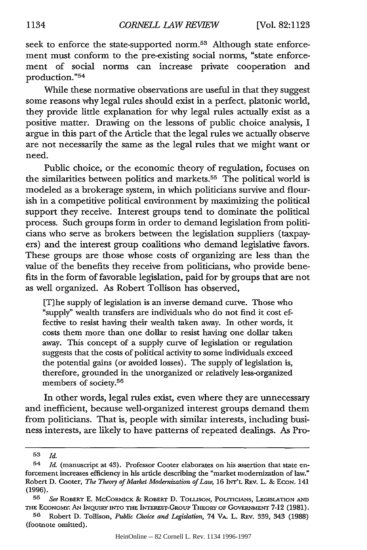seek to enforce the state-supported norm.<sup>53</sup> Although state enforcement must conform to the pre-existing social norms, "state enforcement of social norms can increase private cooperation and production."<sup>54</sup>

While these normative observations are useful in that they suggest some reasons why legal rules should exist in a perfect, platonic world, they provide little explanation for why legal rules actually exist as a positive matter. Drawing on the lessons of public choice analysis, I argue in this part of the Article that the legal rules we actually observe are not necessarily the same as the legal rules that we might want or need.

Public choice, or the economic theory of regulation, focuses on the similarities between politics and markets.<sup>55</sup> The political world is modeled as a brokerage system, in which politicians survive and flourish in a competitive political environment by maximizing the political support they receive. Interest groups tend to dominate the political process. Such groups form in order to demand legislation from politicians who serve as brokers between the legislation suppliers (taxpayers) and the interest group coalitions who demand legislative favors. These groups are those whose costs of organizing are less than the value of the benefits they receive from politicians, who provide benefits in the form of favorable legislation, paid for by groups that are not as well organized. As Robert Tollison has observed,

[T] he supply of legislation is an inverse demand curve. Those who "supply" wealth transfers are individuals who do not find it cost effective to resist having their wealth taken away. In other words, it costs them more than one dollar to resist having one dollar taken away. This concept of a supply curve of legislation or regulation suggests that the costs of political activity to some individuals exceed the potential gains (or avoided losses). The supply of legislation is, therefore, grounded in the unorganized or relatively less-organized members of society.<sup>56</sup>

In other words, legal rules exist, even where they are unnecessary and inefficient, because well-organized interest groups demand them from politicians. That is, people with similar interests, including business interests, are likely to have patterns of repeated dealings. As Pro-

**<sup>53</sup>** *Id.*

<sup>54</sup> *Id.* (manuscript at 43). Professor Cooter elaborates on his assertion that state enforcement increases efficiency in his article describing the "market modemization of law." Robert D. Cooter, *The Theory of Market Modernization of Law,* 16 **INr'L** REv. L. **&** EcoN. 141 **(1996).**

**<sup>55</sup>** *See* ROBERT **E.** McCORMICK & ROBERT **D.** ToLLIsoN, PoLrcICIANs, LEGISLATION **AND** THE ECONOMw- **AN** INQUIRY INTO THE INTEREST-GRouP THEORY OF GOVERNMENT **7-12** (1981).

**<sup>56</sup>** Robert **D.** Tollison, *Public Choice and Legislation,* 74 **VA.** L. REv. 339, 343 (1988) (footnote omitted).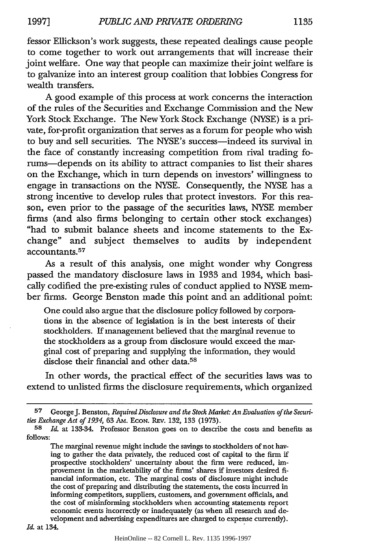fessor Ellickson's work suggests, these repeated dealings cause people to come together to work out arrangements that will increase their joint welfare. One way that people can maximize their joint welfare is to galvanize into an interest group coalition that lobbies Congress for wealth transfers.

A good example of this process at work concerns the interaction of the rules of the Securities and Exchange Commission and the New York Stock Exchange. The New York Stock Exchange (NYSE) is a private, for-profit organization that serves as a forum for people who wish to buy and sell securities. The NYSE's success-indeed its survival in the face of constantly increasing competition from rival trading forums-depends on its ability to attract companies to list their shares on the Exchange, which in turn depends on investors' willingness to engage in transactions on the NYSE. Consequently, the NYSE has a strong incentive to develop rules that protect investors. For this reason, even prior to the passage of the securities laws, NYSE member firms (and also firms belonging to certain other stock exchanges) "had to submit balance sheets and income statements to the Exchange" and subject themselves to audits by independent accountants. <sup>57</sup>

As a result of this analysis, one might wonder why Congress passed the mandatory disclosure laws in 1933 and 1934, which basically codified the pre-existing rules of conduct applied to NYSE member firms. George Benston made this point and an additional point:

One could also argue that the disclosure policy followed by corporations in the absence of legislation is in the best interests of their stockholders. If management believed that the marginal revenue to the stockholders as a group from disclosure would exceed the marginal cost of preparing and supplying the information, they would disclose their financial and other data.<sup>58</sup>

In other words, the practical effect of the securities laws was to extend to unlisted firms the disclosure requirements, which organized

**<sup>57</sup>** GeorgeJ. Benston, *Required Disclosure and the Stock Market: An Evaluation of the Securities Exchange Act of 1934,* 63 AM. EcoN. REv. 132, 133 (1973).

**<sup>58</sup>** *Id.* at 133-34. Professor Benston goes on to describe the costs and benefits as follows:

The marginal revenue might include the savings to stockholders of not having to gather the data privately, the reduced cost of capital to the firm if prospective stockholders' uncertainty about the firm were reduced, improvement in the marketability of the firms' shares if investors desired financial information, etc. The marginal costs of disclosure might include the cost of preparing and distributing the statements, the costs incurred in informing competitors, suppliers, customers, and government officials, and the cost of misinforming stockholders when accounting statements report economic events incorrectly or inadequately (as when all research and development and advertising expenditures are charged to expense currently).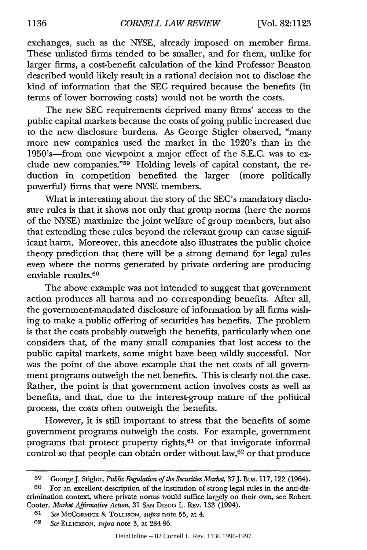exchanges, such as the NYSE, already imposed on member firms. These unlisted firms tended to be smaller, and for them, unlike for larger firms, a cost-benefit calculation of the kind Professor Benston described would likely result in a rational decision not to disclose the kind of information that the SEC required because the benefits (in terms of lower borrowing costs) would not be worth the costs.

The new SEC requirements deprived many firms' access to the public capital markets because the costs of going public increased due to the new disclosure burdens. As George Stigler observed, "many more new companies used the market in the 1920's than in the 1950's-from one viewpoint a major effect of the S.E.C. was to exclude new companies."<sup>59</sup> Holding levels of capital constant, the reduction in competition benefited the larger (more politically powerful) firms that were NYSE members.

What is interesting about the story of the SEC's mandatory disclosure rules is that it shows not only that group norms (here the norms of the NYSE) maximize the joint welfare of group members, but also that extending these rules beyond the relevant group can cause significant harm. Moreover, this anecdote also illustrates the public choice theory prediction that there will be a strong demand for legal rules even where the norms generated by private ordering are producing enviable results. <sup>60</sup>

The above example was not intended to suggest that government action produces all harms and no corresponding benefits. After all, the government-mandated disclosure of information by all firms wishing to make a public offering of securities has benefits. The problem is that the costs probably outweigh the benefits, particularly when one considers that, of the many small companies that lost access to the public capital markets, some might have been wildly successful. Nor was the point of the above example that the net costs of all government programs outweigh the net benefits. This is clearly not the case. Rather, the point is that government action involves costs as well as benefits, and that, due to the interest-group nature of the political process, the costs often outweigh the benefits.

However, it is still important to stress that the benefits of some government programs outweigh the costs. For example, government programs that protect property rights, $61$  or that invigorate informal control so that people can obtain order without law,<sup>62</sup> or that produce

**<sup>59</sup>** GeorgeJ. Stigler, *Public Regulation of the Securities Market,* 37J. Bus. 117, 122 (1964).

**<sup>60</sup>** For an excellent description of the institution of strong legal rules in the anti-discrimination context, where private norms would suffice largely on their own, see Robert Cooter, *Market Affirmative Action,* 31 **SAN DIEGO** L. REv. 133 (1994).

**<sup>61</sup>** *See* MCCORMICK **&** TOLLISON, *supra* note 55, at 4.

**<sup>62</sup>** *See* **ELLICKSON,** *supra* note 3, at 284-86.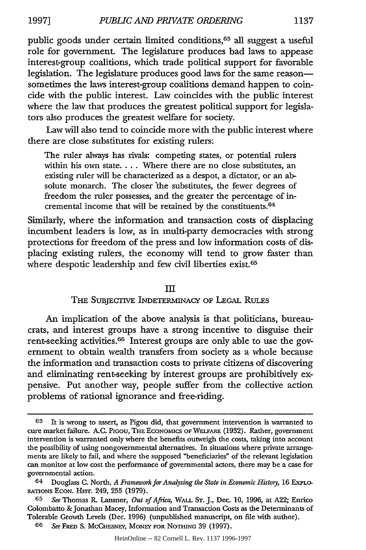public goods under certain limited conditions,<sup>63</sup> all suggest a useful

role for government. The legislature produces bad laws to appease interest-group coalitions, which trade political support for favorable legislation. The legislature produces good laws for the same reasonsometimes the laws interest-group coalitions demand happen to coincide with the public interest. Law coincides with the public interest where the law that produces the greatest political support for legislators also produces the greatest welfare for society.

Law will also tend to coincide more with the public interest where there are close substitutes for existing rulers:

The ruler always has rivals: competing states, or potential rulers within his own state.... Where there are no close substitutes, an existing ruler will be characterized as a despot, a dictator, or an absolute monarch. The closer the substitutes, the fewer degrees of freedom the ruler possesses, and the greater the percentage of incremental income that will be retained by the constituents. $64$ 

Similarly, where the information and transaction costs of displacing incumbent leaders is low, as in multi-party democracies with strong protections for freedom of the press and low information costs of displacing existing rulers, the economy will tend to grow faster than where despotic leadership and few civil liberties exist.<sup>65</sup>

#### III

#### THE SUBJECTIVE INDETERMINACY OF LEGAL RULES

An implication of the above analysis is that politicians, bureaucrats, and interest groups have a strong incentive to disguise their rent-seeking activities.66 Interest groups are only able to use the government to obtain wealth transfers from society as a whole because the information and transaction costs to private citizens of discovering and eliminating rent-seeking by interest groups are prohibitively expensive. Put another way, people suffer from the collective action problems of rational ignorance and free-riding.

**<sup>63</sup>** It is wrong to assert, as Pigou did, that government intervention is warranted to cure market failure. **A.C.** PGou, THE ECONOMIcs **OF** WELFARE (1932). Rather, government intervention is warranted only where the benefits outweigh the costs, taking into account the possibility of using nongovernmental alternatives. In situations where private arrangements are likely to fail, and where the supposed "beneficiaries" of the relevant legislation can monitor at low cost the performance of governmental actors, there may be a case for governmental action.

<sup>64</sup> Douglass **C.** North, *A Framework for Analyzing the State in Economic History,* 16 EXPLO-RATIONS ECON. HisT. 249, 255 (1979).

**<sup>65</sup>** *See* Thomas R. Lansner, *Out of Africa,* WALL ST. J., Dec. 10, 1996, at A22; Enrico Colombatto &Jonathan Macey, Information and Transaction Costs as the Determinants of Tolerable Growth Levels (Dec. 1996) (unpublished manuscript, on file with author).

<sup>66</sup> *See* FRED S. MCCHESNEY, MONEY FOR NOTHING 39 (1997).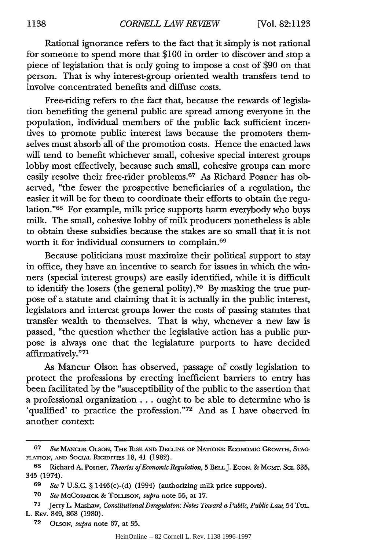Rational ignorance refers to the fact that it simply is not rational for someone to spend more that \$100 in order to discover and stop a piece of legislation that is only going to impose a cost of \$90 on that person. That is why interest-group oriented wealth transfers tend to involve concentrated benefits and diffuse costs.

Free-riding refers to the fact that, because the rewards of legislation benefiting the general public are spread among everyone in the population, individual members of the public lack sufficient incentives to promote public interest laws because the promoters themselves must absorb all of the promotion costs. Hence the enacted laws will tend to benefit whichever small, cohesive special interest groups lobby most effectively, because such small, cohesive groups can more easily resolve their free-rider problems. 67 As Richard Posner has observed, "the fewer the prospective beneficiaries of a regulation, the easier it will be for them to coordinate their efforts to obtain the regulation."<sup>68</sup> For example, milk price supports harm everybody who buys milk. The small, cohesive lobby of milk producers nonetheless is able to obtain these subsidies because the stakes are so small that it is not worth it for individual consumers to complain. <sup>69</sup>

Because politicians must maximize their political support to stay in office, they have an incentive to search for issues in which the winners (special interest groups) are easily identified, while it is difficult to identify the losers (the general polity).70 By masking the true purpose of a statute and claiming that it is actually in the public interest, legislators and interest groups lower the costs of passing statutes that transfer wealth to themselves. That is why, whenever a new law is passed, "the question whether the legislative action has a public purpose is always one that the legislature purports to have decided affirmatively."71

As Mancur Olson has observed, passage of costly legislation to protect the professions by erecting inefficient barriers to entry has been facilitated by the "susceptibility of the public to the assertion that a professional organization... ought to be able to determine who is 'qualified' to practice the profession."72 And as I have observed in another context:

**<sup>67</sup>** *See* **MANCUR** OLSON, THE RISE **AND** DECLINE OF NATIONS: ECONOMIC GROWTH, **STAG-**FLATION, AND SOCIAL RIGIDITIES 18, 41 (1982).

<sup>68</sup> Richard A. Posner, *Theories of Economic Regulation*, 5 BELL J. ECON. & MGMT. SCI. 335, 345 (1974).

<sup>69</sup> *See* 7 U.S.C. § 1446(c)-(d) (1994) (authorizing milk price supports).

**<sup>70</sup>** *See* MCCORMICK & TOLLISON, *supra* note 55, at 17.

<sup>71</sup> Jerry L. Mashaw, *Constitutional Deregulaton: Notes Toward a Public, Public Law,* 54 TUL. L. REV. 849, 868 (1980).

**<sup>72</sup> OLSON,** *supra* note *67,* at 35.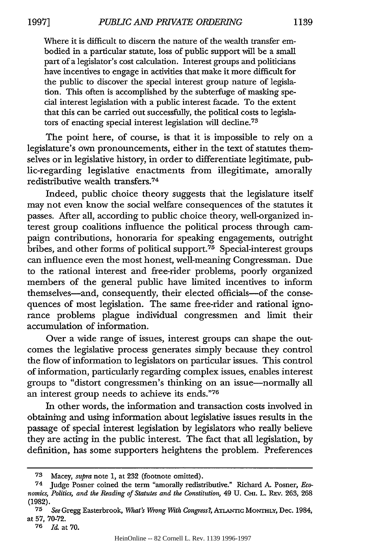Where it is difficult to discern the nature of the wealth transfer embodied in a particular statute, loss of public support will be a small part of a legislator's cost calculation. Interest groups and politicians have incentives to engage in activities that make it more difficult for the public to discover the special interest group nature of legislation. This often is accomplished by the subterfuge of masking special interest legislation with a public interest facade. To the extent that this can be carried out successfully, the political costs to legislators of enacting special interest legislation will decline.<sup>73</sup>

The point here, of course, is that it is impossible to rely on a legislature's own pronouncements, either in the text of statutes themselves or in legislative history, in order to differentiate legitimate, public-regarding legislative enactments from illegitimate, amorally redistributive wealth transfers.74

Indeed, public choice theory suggests that the legislature itself may not even know the social welfare consequences of the statutes it passes. After all, according to public choice theory, well-organized interest group coalitions influence the political process through campaign contributions, honoraria for speaking engagements, outright bribes, and other forms of political support.<sup>75</sup> Special-interest groups can influence even the most honest, well-meaning Congressman. Due to the rational interest and free-rider problems, poorly organized members of the general public have limited incentives to inform themselves-and, consequently, their elected officials-of the consequences of most legislation. The same free-rider and rational ignorance problems plague individual congressmen and limit their accumulation of information.

Over a wide range of issues, interest groups can shape the outcomes the legislative process generates simply because they control the flow of information to legislators on particular issues. This control of information, particularly regarding complex issues, enables interest groups to "distort congressmen's thinking on an issue-normally all an interest group needs to achieve its ends."76

In other words, the information and transaction costs involved in obtaining and using information about legislative issues results in the passage of special interest legislation by legislators who really believe they are acting in the public interest. The fact that all legislation, by definition, has some supporters heightens the problem. Preferences

**<sup>73</sup>** Macey, *supra* note 1, at 232 (footnote omitted).

<sup>74</sup> Judge Posner coined the term "amorally redistributive." Richard *A.* Posner, *Economics, Politics, and the Reading of Statutes and the Constitution,* 49 U. CHI. L. REv. 263, 268 (1982).

**<sup>75</sup>** *See* Gregg Easterbrook, *What's Wrong With Congress7,* ATANTc MONTHLY, Dec. 1984, at **57,** 70-72.

**<sup>76</sup>** *Id.* at **70.**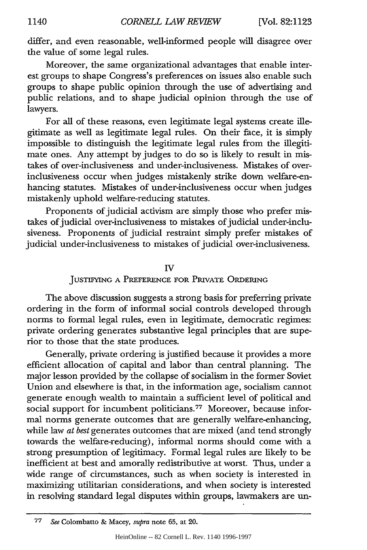differ, and even reasonable, well-informed people will disagree over the value of some legal rules.

Moreover, the same organizational advantages that enable interest groups to shape Congress's preferences on issues also enable such groups to shape public opinion through the use of advertising and public relations, and to shape judicial opinion through the use of lawyers.

For all of these reasons, even legitimate legal systems create illegitimate as well as legitimate legal rules. On their face, it is simply impossible to distinguish the legitimate legal rules from the illegitimate ones. Any attempt by judges to do so is likely to result in mistakes of over-inclusiveness and under-inclusiveness. Mistakes of overinclusiveness occur when judges mistakenly strike down welfare-enhancing statutes. Mistakes of under-inclusiveness occur when judges mistakenly uphold welfare-reducing statutes.

Proponents of judicial activism are simply those who prefer mistakes of judicial over-inclusiveness to mistakes of judicial under-inclusiveness. Proponents of judicial restraint simply prefer mistakes of judicial under-inclusiveness to mistakes of judicial over-inclusiveness.

#### IV

#### **JUSTIFYING A** PREFERENCE FOR PRIVATE **ORDERING**

The above discussion suggests a strong basis for preferring private ordering in the form of informal social controls developed through norms to formal legal rules, even in legitimate, democratic regimes: private ordering generates substantive legal principles that are superior to those that the state produces.

Generally, private ordering is justified because it provides a more efficient allocation of capital and labor than central planning. The major lesson provided by the collapse of socialism in the former Soviet Union and elsewhere is that, in the information age, socialism cannot generate enough wealth to maintain a sufficient level of political and social support for incumbent politicians.<sup>77</sup> Moreover, because informal norms generate outcomes that are generally welfare-enhancing, while law *at best* generates outcomes that are mixed (and tend strongly towards the welfare-reducing), informal norms should come with a strong presumption of legitimacy. Formal legal rules are likely to be inefficient at best and amorally redistributive at worst. Thus, under a wide range of circumstances, such as when society is interested in maximizing utilitarian considerations, and when society is interested in resolving standard legal disputes within groups, lawmakers are un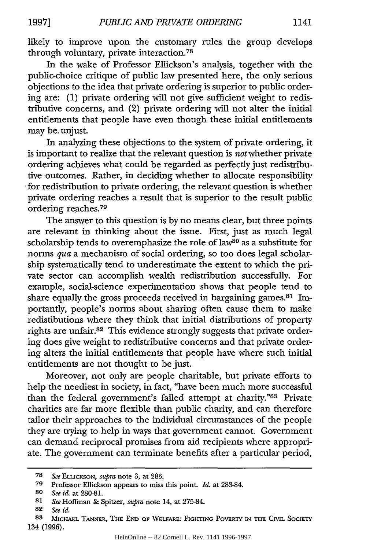likely to improve upon the customary rules the group develops through voluntary, private interaction.<sup>78</sup>

In the wake of Professor Ellickson's analysis, together with the public-choice critique of public law presented here, the only serious objections to the idea that private ordering is superior to public ordering are: (1) private ordering will not give sufficient weight to redistributive concerns, and (2) private ordering will not alter the initial entitlements that people have even though these initial entitlements may be. unjust.

In analyzing these objections to the system of private ordering, it is important to realize that the relevant question is *not* whether private ordering achieves what could be regarded as perfectly just redistributive outcomes. Rather, in deciding whether to allocate responsibility for redistribution to private ordering, the relevant question is whether private ordering reaches a result that is superior to the result public ordering reaches.<sup>79</sup>

The answer to this question is by no means clear, but three points are relevant in thinking about the issue. First, just as much legal scholarship tends to overemphasize the role of law<sup>80</sup> as a substitute for norms *qua* a mechanism of social ordering, so too does legal scholarship systematically tend to underestimate the extent to which the private sector can accomplish wealth redistribution successfully. For example, social-science experimentation shows that people tend to share equally the gross proceeds received in bargaining games.<sup>81</sup> Importantly, people's norms about sharing often cause them to make redistibutions where they think that initial distributions of property rights are unfair.82 This evidence strongly suggests that private ordering does give weight to redistributive concerns and that private ordering alters the initial entitlements that people have where such initial entitlements are not thought to be just.

Moreover, not only are people charitable, but private efforts to help the neediest in society, in fact, "have been much more successful than the federal government's failed attempt at charity."83 Private charities are far more flexible than public charity, and can therefore tailor their approaches to the individual circumstances of the people they are trying to help in ways that government cannot. Government can demand reciprocal promises from aid recipients where appropriate. The government can terminate benefits after a particular period,

**<sup>78</sup>** *See ELLICKSON, supra* note 3, at 283.

**<sup>79</sup>** Professor Ellickson appears to miss this point. *Id.* at 283-84.

**<sup>80</sup>** *See id.* at 280-81.

**<sup>81</sup>** *See* Hoffman & Spitzer, *supra* note 14, at 275-84.

**<sup>82</sup>** *See id.*

**<sup>83</sup> MICHAEL TANNER, THE END OF** WELFARE: FIGHTING POVERTY **IN THE CIVIL SOCIETY** 134 **(1996).**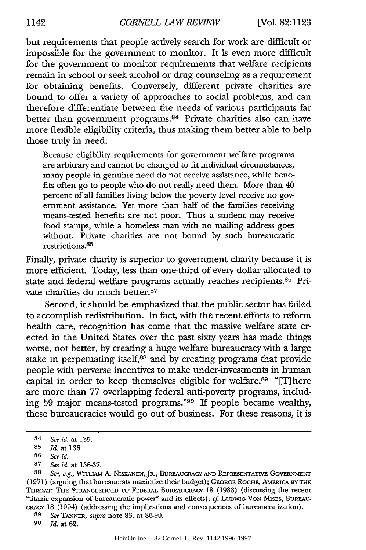but requirements that people actively search for work are difficult or impossible for the government to monitor. It is even more difficult for the government to monitor requirements that welfare recipients remain in school or seek alcohol or drug counseling as a requirement for obtaining benefits. Conversely, different private charities are bound to offer a variety of approaches to social problems, and can therefore differentiate between the needs of various participants far better than government programs. 84 Private charities also can have more flexible eligibility criteria, thus making them better able to help those truly in need:

Because eligibility requirements for government welfare programs are arbitrary and cannot be changed to fit individual circumstances, many people in genuine need do not receive assistance, while benefits often go to people who do not really need them. More than 40 percent of all families living below the poverty level receive no government assistance. Yet more than half of the families receiving means-tested benefits are not poor. Thus a student may receive food stamps, while a homeless man with no mailing address goes without. Private charities are not bound by such bureaucratic restrictions. <sup>85</sup>

Finally, private charity is superior to government charity because it is more efficient. Today, less than one-third of every dollar allocated to state and federal welfare programs actually reaches recipients.<sup>86</sup> Private charities do much better.87

Second, it should be emphasized that the public sector has failed to accomplish redistribution. In fact, with the recent efforts to reform health care, recognition has come that the massive welfare state erected in the United States over the past sixty years has made things worse, not better, by creating a huge welfare bureaucracy with a large stake in perpetuating itself,<sup>88</sup> and by creating programs that provide people with perverse incentives to make under-investments in human capital in order to keep themselves eligible for welfare.<sup>89</sup> "[T] here are more than 77 overlapping federal anti-poverty programs, including 59 major means-tested programs."90 If people became wealthy, these bureaucracies would go out of business. For these reasons, it is

*90 Id.* at 62.

<sup>84</sup> *See i&* at 135.

<sup>85</sup> *Id.* at 136.

<sup>86</sup> *See id.*

<sup>87</sup> *See id.* at 136-37.

<sup>88</sup> *See, e.g.,* WILLIAM A. **NISKANEN,** JR., BUR.\_AUcRACY **AND** REPRESENTATIVE GOVERNMENT (1971) (arguing that bureaucrats maximize their budget); GEORGE ROCHE, AMERICA BY **THE** THROAT: THE STRANGLEHOLD OF FEDERAL BUREAUCRACY 18 (1983) (discussing the recent "titanic expansion of bureaucratic power" and its effects); cf. LUDWIG VON MISES, BUREAUcRAcv 18 (1994) (addressing the implications and consequences of bureaucratization).

<sup>89</sup> *See* TANNER, *supra* note 83, at 86-90.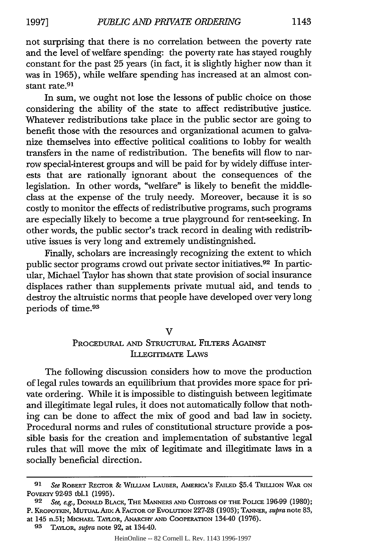not surprising that there is no correlation between the poverty rate and the level of welfare spending: the poverty rate has stayed roughly constant for the past 25 years (in fact, it is slightly higher now than it was in 1965), while welfare spending has increased at an almost constant rate.<sup>91</sup>

In sum, we ought not lose the lessons of public choice on those considering the ability of the state to affect redistributive justice. Whatever redistributions take place in the public sector are going to benefit those with the resources and organizational acumen to galvanize themselves into effective political coalitions to lobby for wealth transfers in the name of redistribution. The benefits will flow to narrow special-interest groups and will be paid for by widely diffuse interests that are rationally ignorant about the consequences of the legislation. In other words, "welfare" is likely to benefit the middleclass at the expense of the truly needy. Moreover, because it is so costly to monitor the effects of redistributive programs, such programs are especially likely to become a true playground for rent-seeking. In other words, the public sector's track record in dealing with redistributive issues is very long and extremely undistingnished.

Finally, scholars are increasingly recognizing the extent to which public sector programs crowd out private sector initiatives. 92 In particular, Michael Taylor has shown that state provision of social insurance displaces rather than supplements private mutual aid, and tends to destroy the altruistic norms that people have developed over very long periods of time. <sup>93</sup>

 $\overline{\mathbf{V}}$ 

# PROCEDURAL AND STRUCTURAL FILTERS AGAINST **ILLEGrMATE** LAWS

The following discussion considers how to move the production of legal rules towards an equilibrium that provides more space for private ordering. While it is impossible to distinguish between legitimate and illegitimate legal rules, it does not automatically follow that nothing can be done to affect the mix of good and bad law in society. Procedural norms and rules of constitutional structure provide a possible basis for the creation and implementation of substantive legal rules that will move the mix of legitimate and illegitimate laws in a socially beneficial direction.

*<sup>91</sup> See* ROBERT **RECTOR &** WILLIAM LAUBER, AMERICA'S FAILED \$5.4 TRILLION WAR **ON** POVERTY 92-93 tbl.1 (1995).

**<sup>92</sup>** *See, e.g.,* DONALD BLACK, **THE MANNERS AND** CUSTOMS OF THE **POLICE** 196-99 (1980); P. KROPOTKIN, **MUTruAL AID:** A FACTOR OF EVOLUTION 227-28 (1903); **TANNER,** *supra* note 83, at 145 n.51; **MICiHAEL** TAYLOR, ANARCHY **AND** COOPERATION 134-40 (1976).

**<sup>93</sup>** TAYLOR, *supra* note 92, at 134-40.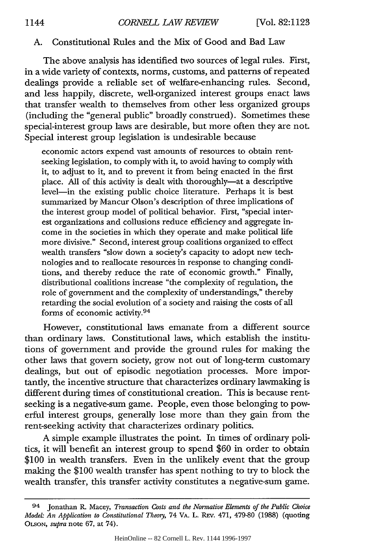#### A. Constitutional Rules and the Mix of Good and Bad Law

The above analysis has identified two sources of legal rules. First, in a wide variety of contexts, norms, customs, and patterns of repeated dealings provide a reliable set of welfare-enhancing rules. Second, and less happily, discrete, well-organized interest groups enact laws that transfer wealth to themselves from other less organized groups (including the "general public" broadly construed). Sometimes these special-interest group laws are desirable, but more often they are not. Special interest group legislation is undesirable because

economic actors expend vast amounts of resources to obtain rentseeking legislation, to comply with it, to avoid having to comply with *it,* to adjust to it, and to prevent it from being enacted in the first place. All of this activity is dealt with thoroughly-at a descriptive level-in the existing public choice literature. Perhaps it is best summarized by Mancur Olson's description of three implications of the interest group model of political behavior. First, "special interest organizations and collusions reduce efficiency and aggregate income in the societies in which they operate and make political life more divisive." Second, interest group coalitions organized to effect wealth transfers "slow down a society's capacity to adopt new technologies and to reallocate resources in response to changing conditions, and thereby reduce the rate of economic growth." Finally, distributional coalitions increase "the complexity of regulation, the role of government and the complexity of understandings," thereby retarding the social evolution of a society and raising the costs of all forms of economic activity.94

However, constitutional laws emanate from a different source than ordinary laws. Constitutional laws, which establish the institutions of government and provide the ground rules for making the other laws that govern society, grow not out of long-term customary dealings, but out of episodic negotiation processes. More importantly, the incentive structure that characterizes ordinary lawmaking is different during times of constitutional creation. This is because rentseeking is a negative-sum game. People, even those belonging to powerful interest groups, generally lose more than they gain from the rent-seeking activity that characterizes ordinary politics.

A simple example illustrates the point. In times of ordinary politics, it will benefit an interest group to spend **\$60** in order to obtain \$100 in wealth transfers. Even in the unlikely event that the group making the \$100 wealth transfer has spent nothing to try to block the wealth transfer, this transfer activity constitutes a negative-sum game.

<sup>94</sup> Jonathan R\_ Macey, *Transaction Costs and the Normative Elements of the Public Choice Model: An Application to Constitutional Theory,* 74 VA. L. **REv.** 471, **479-80 (1988)** (quoting **OLSON,** *supra* note **67,** at 74).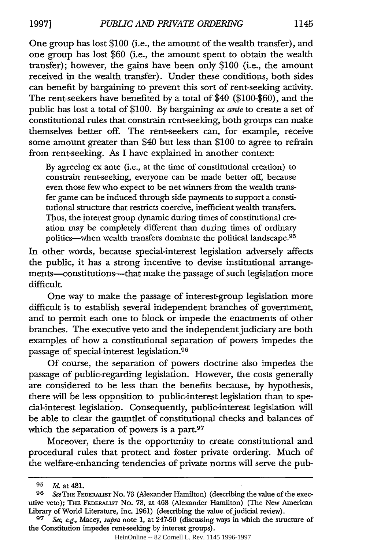One group has lost \$100 (i.e., the amount of the wealth transfer), and one group has lost \$60 (i.e., the amount spent to obtain the wealth transfer); however, the gains have been only \$100 (i.e., the amount received in the wealth transfer). Under these conditions, both sides can benefit by bargaining to prevent this sort of rent-seeking activity. The rent-seekers have benefited by a total of \$40 (\$100-\$60), and the public has lost a total of \$100. By bargaining *ex ante* to create a set of constitutional rules that constrain rent-seeking, both groups can make themselves better off. The rent-seekers can, for example, receive some amount greater than \$40 but less than \$100 to agree to refrain from rent-seeking. As I have explained in another context:

By agreeing ex ante (i.e., at the time of constitutional creation) to constrain rent-seeking, everyone can be made better off, because even those few who expect to be net winners from the wealth transfer game can be induced through side payments to support a constitutional structure that restricts coercive, inefficient wealth transfers. Thus, the interest group dynamic during times of constitutional creation may be completely different than during times of ordinary politics-when wealth transfers dominate the political landscape.<sup>95</sup>

In other words, because special-interest legislation adversely affects the public, it has a strong incentive to devise institutional arrangements-constitutions-that make the passage of such legislation more difficult.

One way to make the passage of interest-group legislation more difficult is to establish several independent branches of government, and to permit each one to block or impede the enactments of other branches. The executive veto and the independent judiciary are both examples of how a constitutional separation of powers impedes the passage of special-interest legislation. <sup>96</sup>

Of course, the separation of powers doctrine also impedes the passage of public-regarding legislation. However, the costs generally are considered to be less than the benefits because, by hypothesis, there will be less opposition to public-interest legislation than to special-interest legislation. Consequently, public-interest legislation will be able to clear the gauntlet of constitutional checks and balances of which the separation of powers is a part.<sup>97</sup>

Moreover, there is the opportunity to create constitutional and procedural rules that protect and foster private ordering. Much of the welfare-enhancing tendencies of private norms will serve the pub-

*<sup>95</sup> Id.* at 481.

**<sup>96</sup>** SeeTHE FEDERAIST No. 73 (Alexander Hamilton) (describing the value of the executive veto); THE FEDERAUST No. 78, at 468 (Alexander Hamilton) (The New American Library of World Literature, Inc. 1961) (describing the value of judicial review).

**<sup>97</sup>** *See, e.g.,* Macey, *supra* note 1, at 247-50 (discussing ways in which the structure of the Constitution impedes rent-seeking by interest groups).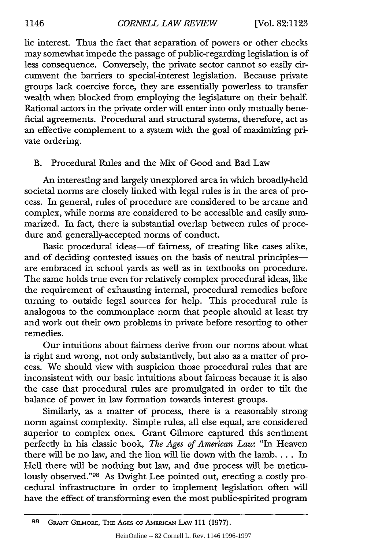lic interest. Thus the fact that separation of powers or other checks may somewhat impede the passage of public-regarding legislation is of less consequence. Conversely, the private sector cannot so easily circumvent the barriers to special-interest legislation. Because private groups lack coercive force, they are essentially powerless to transfer wealth when blocked from employing the legislature on their behalf. Rational actors in the private order will enter into only mutually beneficial agreements. Procedural and structural systems, therefore, act as an effective complement to a system with the goal of maximizing private ordering.

# B. Procedural Rules and the Mix of Good and Bad Law

An interesting and largely unexplored area in which broadly-held societal norms are closely linked with legal rules is in the area of process. In general, rules of procedure are considered to be arcane and complex, while norms are considered to be accessible and easily summarized. In fact, there is substantial overlap between rules of procedure and generally-accepted norms of conduct.

Basic procedural ideas-of fairness, of treating like cases alike, and of deciding contested issues on the basis of neutral principlesare embraced in school yards as well as in textbooks on procedure. The same holds true even for relatively complex procedural ideas, like the requirement of exhausting internal, procedural remedies before turning to outside legal sources for help. This procedural rule is analogous to the commonplace norm that people should at least try and work out their own problems in private before resorting to other remedies.

Our intuitions about fairness derive from our norms about what is right and wrong, not only substantively, but also as a matter of process. We should view with suspicion those procedural rules that are inconsistent with our basic intuitions about fairness because it is also the case that procedural rules are promulgated in order to tilt the balance of power in law formation towards interest groups.

Similarly, as a matter of process, there is a reasonably strong norm against complexity. Simple rules, all else equal, are considered superior to complex ones. Grant Gilmore captured this sentiment perfectly in his classic book, *The Ages of American Law:* "In Heaven there will be no law, and the lion will lie down with the lamb.... In Hell there will be nothing but law, and due process will be meticulously observed."98 As Dwight Lee pointed out, erecting a costly procedural infrastructure in order to implement legislation often will have the effect of transforming even the most public-spirited program

**<sup>98</sup>** GRANT GILMORE, THE AGES OF AMERCAN **LAW** 111 (1977).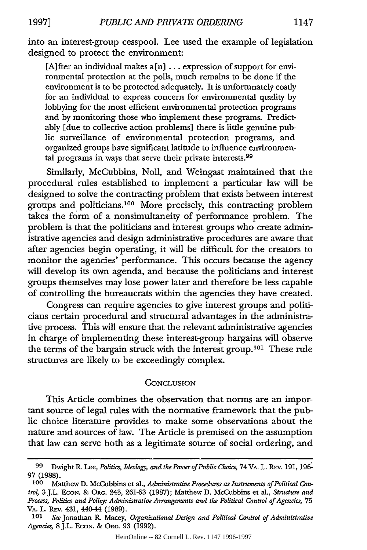into an interest-group cesspool. Lee used the example of legislation designed to protect the environment:

[A]fter an individual makes  $a[n]$  ... expression of support for environmental protection at the polls, much remains to be done if the environment is to be protected adequately. It is unfortunately costly for an individual to express concern for environmental quality by lobbying for the most efficient environmental protection programs and by monitoring those who implement these programs. Predictably [due to collective action problems] there is little genuine public surveillance of environmental protection programs, and organized groups have significant latitude to influence environmental programs in ways that serve their private interests.<sup>99</sup>

Similarly, McCubbins, Noll, and Weingast maintained that the procedural rules established to implement a particular law will be designed to solve the contracting problem that exists between interest groups and politicians.100 More precisely, this contracting problem takes the form of a nonsimultaneity of performance problem. The problem is that the politicians and interest groups who create administrative agencies and design administrative procedures are aware that after agencies begin operating, it will be difficult for the creators to monitor the agencies' performance. This occurs because the agency will develop its own agenda, and because the politicians and interest groups themselves may lose power later and therefore be less capable of controlling the bureaucrats within the agencies they have created.

Congress can require agencies to give interest groups and politicians certain procedural and structural advantages in the administrative process. This will ensure that the relevant administrative agencies in charge of implementing these interest-group bargains will observe the terms of the bargain struck with the interest group.<sup>101</sup> These rule structures are likely to be exceedingly complex.

#### **CONCLUSION**

This Article combines the observation that norms are an important source of legal rules with the normative framework that the public choice literature provides to make some observations about the nature and sources of law. The Article is premised on the assumption that law can serve both as a legitimate source of social ordering, and

**<sup>99</sup>** Dwight *R.* Lee, *Politics, Ideology, and the Power of Public Choice,* 74 VA. L. **REv.** 191, 196- 97 (1988).

**<sup>100</sup>** Matthew D. McCubbins et al., *Administrative Procedures as Instruments of Political Contro4* 3 J.L. ECON. & ORG. 243, 261-63 (1987); Matthew D. McCubbins et al., *Structure and Process, Politics and Policy: Administrative Arrangements and the Political Control of Agencies,* **75** VA. L. REv. 431, 440-44 (1989).

**<sup>101</sup>** *See* Jonathan R Macey, *Organizational Design and Political Control of Administrative Agencies,* 8J.L. EcoN. & ORG. 93 (1992).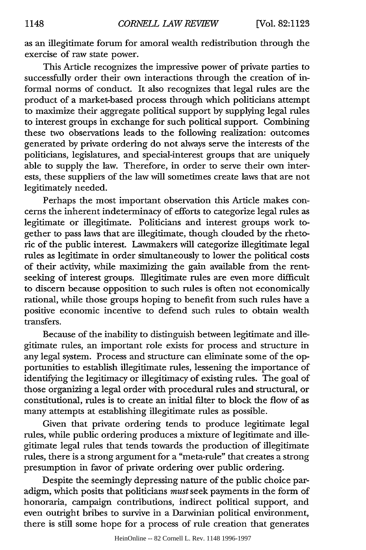as an illegitimate forum for amoral wealth redistribution through the exercise of raw state power.

This Article recognizes the impressive power of private parties to successfully order their own interactions through the creation of informal norms of conduct. It also recognizes that legal rules are the product of a market-based process through which politicians attempt to maximize their aggregate political support by supplying legal rules to interest groups in exchange for such political support. Combining these two observations leads to the following realization: outcomes generated by private ordering do not always serve the interests of the politicians, legislatures, and special-interest groups that are uniquely able to supply the law. Therefore, in order to serve their own interests, these suppliers of the law will sometimes create laws that are not legitimately needed.

Perhaps the most important observation this Article makes concerns the inherent indeterminacy of efforts to categorize legal rules as legitimate or illegitimate. Politicians and interest groups work together to pass laws that are illegitimate, though clouded by the rhetoric of the public interest. Lawmakers will categorize illegitimate legal rules as legitimate in order simultaneously to lower the political costs of their activity, while maximizing the gain available from the rentseeking of interest groups. Illegitimate rules are even more difficult to discern because opposition to such rules is often not economically rational, while those groups hoping to benefit from such rules have a positive economic incentive to defend such rules to obtain wealth transfers.

Because of the inability to distinguish between legitimate and illegitimate rules, an important role exists for process and structure in any legal system. Process and structure can eliminate some of the opportunities to establish illegitimate rules, lessening the importance of identifying the legitimacy or illegitimacy of existing rules. The goal of those organizing a legal order with procedural rules and structural, or constitutional, rules is to create an initial filter to block the flow of as many attempts at establishing illegitimate rules as possible.

Given that private ordering tends to produce legitimate legal rules, while public ordering produces a mixture of legitimate and illegitimate legal rules that tends towards the production of illegitimate rules, there is a strong argument for a "meta-rule" that creates a strong presumption in favor of private ordering over public ordering.

Despite the seemingly depressing nature of the public choice paradigm, which posits that politicians *must* seek payments in the form of honoraria, campaign contributions, indirect political support, and even outright bribes to survive in a Darwinian political environment, there is still some hope for a process of rule creation that generates